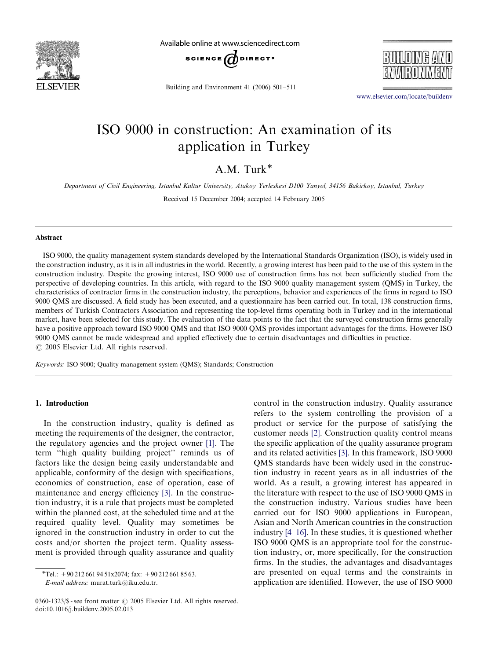

Available online at www.sciencedirect.com



Building and Environment 41 (2006) 501–511



<www.elsevier.com/locate/buildenv>

# ISO 9000 in construction: An examination of its application in Turkey

### A.M. Turk

Department of Civil Engineering, Istanbul Kultur University, Atakoy Yerleskesi D100 Yanyol, 34156 Bakirkoy, Istanbul, Turkey

Received 15 December 2004; accepted 14 February 2005

### Abstract

ISO 9000, the quality management system standards developed by the International Standards Organization (ISO), is widely used in the construction industry, as it is in all industries in the world. Recently, a growing interest has been paid to the use of this system in the construction industry. Despite the growing interest, ISO 9000 use of construction firms has not been sufficiently studied from the perspective of developing countries. In this article, with regard to the ISO 9000 quality management system (QMS) in Turkey, the characteristics of contractor firms in the construction industry, the perceptions, behavior and experiences of the firms in regard to ISO 9000 QMS are discussed. A field study has been executed, and a questionnaire has been carried out. In total, 138 construction firms, members of Turkish Contractors Association and representing the top-level firms operating both in Turkey and in the international market, have been selected for this study. The evaluation of the data points to the fact that the surveyed construction firms generally have a positive approach toward ISO 9000 QMS and that ISO 9000 QMS provides important advantages for the firms. However ISO 9000 QMS cannot be made widespread and applied effectively due to certain disadvantages and difficulties in practice.  $\odot$  2005 Elsevier Ltd. All rights reserved.

Keywords: ISO 9000; Quality management system (QMS); Standards; Construction

#### 1. Introduction

In the construction industry, quality is defined as meeting the requirements of the designer, the contractor, the regulatory agencies and the project owner [\[1\]](#page--1-0). The term ''high quality building project'' reminds us of factors like the design being easily understandable and applicable, conformity of the design with specifications, economics of construction, ease of operation, ease of maintenance and energy efficiency [\[3\]](#page--1-0). In the construction industry, it is a rule that projects must be completed within the planned cost, at the scheduled time and at the required quality level. Quality may sometimes be ignored in the construction industry in order to cut the costs and/or shorten the project term. Quality assessment is provided through quality assurance and quality

control in the construction industry. Quality assurance refers to the system controlling the provision of a product or service for the purpose of satisfying the customer needs [\[2\]](#page--1-0). Construction quality control means the specific application of the quality assurance program and its related activities [\[3\]](#page--1-0). In this framework, ISO 9000 QMS standards have been widely used in the construction industry in recent years as in all industries of the world. As a result, a growing interest has appeared in the literature with respect to the use of ISO 9000 QMS in the construction industry. Various studies have been carried out for ISO 9000 applications in European, Asian and North American countries in the construction industry [\[4–16\].](#page--1-0) In these studies, it is questioned whether ISO 9000 QMS is an appropriate tool for the construction industry, or, more specifically, for the construction firms. In the studies, the advantages and disadvantages are presented on equal terms and the constraints in application are identified. However, the use of ISO 9000

<sup>\*</sup>Tel.:  $+90\,212\,661\,94\,51x2074$ ; fax:  $+90\,212\,661\,85\,63$ . E-mail address: murat.turk@iku.edu.tr.

 $0360 - 1323$ /\$ - see front matter  $\odot$  2005 Elsevier Ltd. All rights reserved. doi:10.1016/j.buildenv.2005.02.013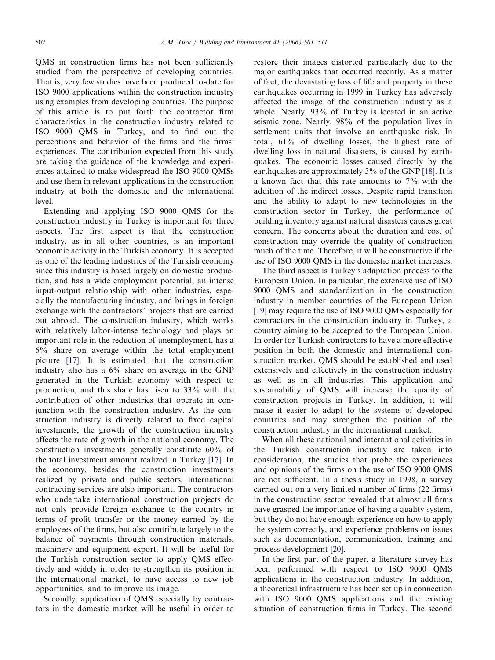QMS in construction firms has not been sufficiently studied from the perspective of developing countries. That is, very few studies have been produced to-date for ISO 9000 applications within the construction industry using examples from developing countries. The purpose of this article is to put forth the contractor firm characteristics in the construction industry related to ISO 9000 QMS in Turkey, and to find out the perceptions and behavior of the firms and the firms' experiences. The contribution expected from this study are taking the guidance of the knowledge and experiences attained to make widespread the ISO 9000 QMSs and use them in relevant applications in the construction industry at both the domestic and the international level.

Extending and applying ISO 9000 QMS for the construction industry in Turkey is important for three aspects. The first aspect is that the construction industry, as in all other countries, is an important economic activity in the Turkish economy. It is accepted as one of the leading industries of the Turkish economy since this industry is based largely on domestic production, and has a wide employment potential, an intense input-output relationship with other industries, especially the manufacturing industry, and brings in foreign exchange with the contractors' projects that are carried out abroad. The construction industry, which works with relatively labor-intense technology and plays an important role in the reduction of unemployment, has a 6% share on average within the total employment picture [\[17\]](#page--1-0). It is estimated that the construction industry also has a 6% share on average in the GNP generated in the Turkish economy with respect to production, and this share has risen to 33% with the contribution of other industries that operate in conjunction with the construction industry. As the construction industry is directly related to fixed capital investments, the growth of the construction industry affects the rate of growth in the national economy. The construction investments generally constitute 60% of the total investment amount realized in Turkey [\[17\]](#page--1-0). In the economy, besides the construction investments realized by private and public sectors, international contracting services are also important. The contractors who undertake international construction projects do not only provide foreign exchange to the country in terms of profit transfer or the money earned by the employees of the firms, but also contribute largely to the balance of payments through construction materials, machinery and equipment export. It will be useful for the Turkish construction sector to apply QMS effectively and widely in order to strengthen its position in the international market, to have access to new job opportunities, and to improve its image.

Secondly, application of QMS especially by contractors in the domestic market will be useful in order to restore their images distorted particularly due to the major earthquakes that occurred recently. As a matter of fact, the devastating loss of life and property in these earthquakes occurring in 1999 in Turkey has adversely affected the image of the construction industry as a whole. Nearly, 93% of Turkey is located in an active seismic zone. Nearly, 98% of the population lives in settlement units that involve an earthquake risk. In total, 61% of dwelling losses, the highest rate of dwelling loss in natural disasters, is caused by earthquakes. The economic losses caused directly by the earthquakes are approximately 3% of the GNP [\[18\].](#page--1-0) It is a known fact that this rate amounts to 7% with the addition of the indirect losses. Despite rapid transition and the ability to adapt to new technologies in the construction sector in Turkey, the performance of building inventory against natural disasters causes great concern. The concerns about the duration and cost of construction may override the quality of construction much of the time. Therefore, it will be constructive if the use of ISO 9000 QMS in the domestic market increases.

The third aspect is Turkey's adaptation process to the European Union. In particular, the extensive use of ISO 9000 QMS and standardization in the construction industry in member countries of the European Union [\[19\]](#page--1-0) may require the use of ISO 9000 QMS especially for contractors in the construction industry in Turkey, a country aiming to be accepted to the European Union. In order for Turkish contractors to have a more effective position in both the domestic and international construction market, QMS should be established and used extensively and effectively in the construction industry as well as in all industries. This application and sustainability of QMS will increase the quality of construction projects in Turkey. In addition, it will make it easier to adapt to the systems of developed countries and may strengthen the position of the construction industry in the international market.

When all these national and international activities in the Turkish construction industry are taken into consideration, the studies that probe the experiences and opinions of the firms on the use of ISO 9000 QMS are not sufficient. In a thesis study in 1998, a survey carried out on a very limited number of firms (22 firms) in the construction sector revealed that almost all firms have grasped the importance of having a quality system, but they do not have enough experience on how to apply the system correctly, and experience problems on issues such as documentation, communication, training and process development [\[20\]](#page--1-0).

In the first part of the paper, a literature survey has been performed with respect to ISO 9000 QMS applications in the construction industry. In addition, a theoretical infrastructure has been set up in connection with ISO 9000 QMS applications and the existing situation of construction firms in Turkey. The second